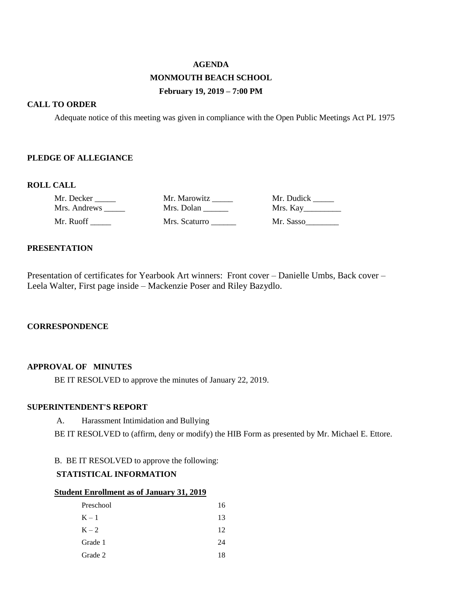# **AGENDA MONMOUTH BEACH SCHOOL February 19, 2019 – 7:00 PM**

## **CALL TO ORDER**

Adequate notice of this meeting was given in compliance with the Open Public Meetings Act PL 1975

### **PLEDGE OF ALLEGIANCE**

### **ROLL CALL**

| Mr. Decker   | Mr. Marowitz  | Mr. Dudick |
|--------------|---------------|------------|
| Mrs. Andrews | Mrs. Dolan    | Mrs. Kay   |
| Mr. Ruoff    | Mrs. Scaturro | Mr. Sasso  |

### **PRESENTATION**

Presentation of certificates for Yearbook Art winners: Front cover – Danielle Umbs, Back cover – Leela Walter, First page inside – Mackenzie Poser and Riley Bazydlo.

### **CORRESPONDENCE**

### **APPROVAL OF MINUTES**

BE IT RESOLVED to approve the minutes of January 22, 2019.

## **SUPERINTENDENT'S REPORT**

A. Harassment Intimidation and Bullying

BE IT RESOLVED to (affirm, deny or modify) the HIB Form as presented by Mr. Michael E. Ettore.

B. BE IT RESOLVED to approve the following:

# **STATISTICAL INFORMATION**

### **Student Enrollment as of January 31, 2019**

| Preschool | 16 |
|-----------|----|
| $K - 1$   | 13 |
| $K - 2$   | 12 |
| Grade 1   | 24 |
| Grade 2   | 18 |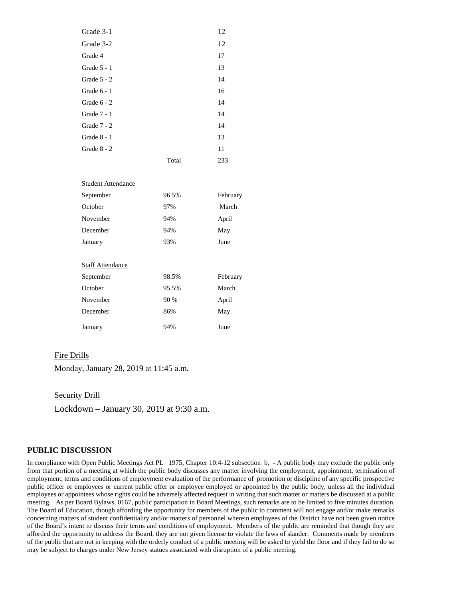| Grade 3-1     |       | 12  |
|---------------|-------|-----|
| Grade 3-2     |       | 12  |
| Grade 4       |       | 17  |
| Grade $5 - 1$ |       | 13  |
| Grade $5 - 2$ |       | 14  |
| Grade $6 - 1$ |       | 16  |
| Grade $6 - 2$ |       | 14  |
| Grade 7 - 1   |       | 14  |
| Grade $7 - 2$ |       | 14  |
| Grade $8 - 1$ |       | 13  |
| Grade 8 - 2   |       | 11  |
|               | Total | 233 |

| Student Attendance      |       |          |
|-------------------------|-------|----------|
| September               | 96.5% | February |
| October                 | 97%   | March    |
| November                | 94%   | April    |
| December                | 94%   | May      |
| January                 | 93%   | June     |
|                         |       |          |
| <b>Staff Attendance</b> |       |          |
| September               | 98.5% | February |
| October                 | 95.5% | March    |
| November                | 90 %  | April    |
| December                | 86%   | May      |
| January                 | 94%   | June     |

#### Fire Drills

Monday, January 28, 2019 at 11:45 a.m.

Security Drill

Lockdown – January 30, 2019 at 9:30 a.m.

#### **PUBLIC DISCUSSION**

In compliance with Open Public Meetings Act PL 1975, Chapter 10:4-12 subsection b, - A public body may exclude the public only from that portion of a meeting at which the public body discusses any matter involving the employment, appointment, termination of employment, terms and conditions of employment evaluation of the performance of promotion or discipline of any specific prospective public officer or employees or current public offer or employee employed or appointed by the public body, unless all the individual employees or appointees whose rights could be adversely affected request in writing that such matter or matters be discussed at a public meeting. As per Board Bylaws, 0167, public participation in Board Meetings, such remarks are to be limited to five minutes duration. The Board of Education, though affording the opportunity for members of the public to comment will not engage and/or make remarks concerning matters of student confidentiality and/or matters of personnel wherein employees of the District have not been given notice of the Board's intent to discuss their terms and conditions of employment. Members of the public are reminded that though they are afforded the opportunity to address the Board, they are not given license to violate the laws of slander. Comments made by members of the public that are not in keeping with the orderly conduct of a public meeting will be asked to yield the floor and if they fail to do so may be subject to charges under New Jersey statues associated with disruption of a public meeting.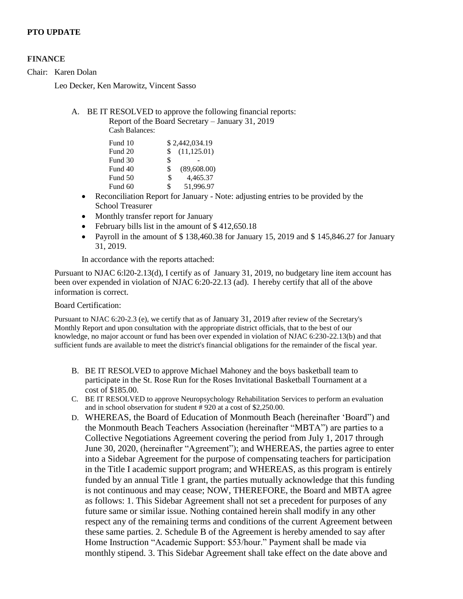# **PTO UPDATE**

### **FINANCE**

Chair: Karen Dolan

Leo Decker, Ken Marowitz, Vincent Sasso

# A. BE IT RESOLVED to approve the following financial reports: Report of the Board Secretary – January 31, 2019

Cash Balances:

|     | \$2,442,034.19 |
|-----|----------------|
| \$. | (11, 125.01)   |
| \$  |                |
| \$  | (89,608.00)    |
| \$  | 4,465.37       |
| \$  | 51,996.97      |
|     |                |

- Reconciliation Report for January Note: adjusting entries to be provided by the School Treasurer
- Monthly transfer report for January
- February bills list in the amount of \$412,650.18
- Payroll in the amount of \$138,460.38 for January 15, 2019 and \$145,846.27 for January 31, 2019.

In accordance with the reports attached:

Pursuant to NJAC 6:l20-2.13(d), I certify as of January 31, 2019, no budgetary line item account has been over expended in violation of NJAC 6:20-22.13 (ad). I hereby certify that all of the above information is correct.

#### Board Certification:

Pursuant to NJAC 6:20-2.3 (e), we certify that as of January 31, 2019 after review of the Secretary's Monthly Report and upon consultation with the appropriate district officials, that to the best of our knowledge, no major account or fund has been over expended in violation of NJAC 6:230-22.13(b) and that sufficient funds are available to meet the district's financial obligations for the remainder of the fiscal year.

- B. BE IT RESOLVED to approve Michael Mahoney and the boys basketball team to participate in the St. Rose Run for the Roses Invitational Basketball Tournament at a cost of \$185.00.
- C. BE IT RESOLVED to approve Neuropsychology Rehabilitation Services to perform an evaluation and in school observation for student # 920 at a cost of \$2,250.00.
- D. WHEREAS, the Board of Education of Monmouth Beach (hereinafter 'Board") and the Monmouth Beach Teachers Association (hereinafter "MBTA") are parties to a Collective Negotiations Agreement covering the period from July 1, 2017 through June 30, 2020, (hereinafter "Agreement"); and WHEREAS, the parties agree to enter into a Sidebar Agreement for the purpose of compensating teachers for participation in the Title I academic support program; and WHEREAS, as this program is entirely funded by an annual Title 1 grant, the parties mutually acknowledge that this funding is not continuous and may cease; NOW, THEREFORE, the Board and MBTA agree as follows: 1. This Sidebar Agreement shall not set a precedent for purposes of any future same or similar issue. Nothing contained herein shall modify in any other respect any of the remaining terms and conditions of the current Agreement between these same parties. 2. Schedule B of the Agreement is hereby amended to say after Home Instruction "Academic Support: \$53/hour." Payment shall be made via monthly stipend. 3. This Sidebar Agreement shall take effect on the date above and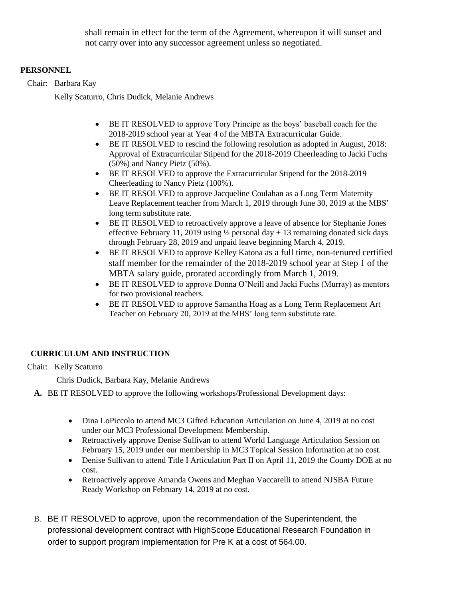shall remain in effect for the term of the Agreement, whereupon it will sunset and not carry over into any successor agreement unless so negotiated.

# **PERSONNEL**

Chair: Barbara Kay

Kelly Scaturro, Chris Dudick, Melanie Andrews

- BE IT RESOLVED to approve Tory Principe as the boys' baseball coach for the 2018-2019 school year at Year 4 of the MBTA Extracurricular Guide.
- BE IT RESOLVED to rescind the following resolution as adopted in August, 2018: Approval of Extracurricular Stipend for the 2018-2019 Cheerleading to Jacki Fuchs (50%) and Nancy Pietz (50%).
- BE IT RESOLVED to approve the Extracurricular Stipend for the 2018-2019 Cheerleading to Nancy Pietz (100%).
- BE IT RESOLVED to approve Jacqueline Coulahan as a Long Term Maternity Leave Replacement teacher from March 1, 2019 through June 30, 2019 at the MBS' long term substitute rate.
- BE IT RESOLVED to retroactively approve a leave of absence for Stephanie Jones effective February 11, 2019 using  $\frac{1}{2}$  personal day + 13 remaining donated sick days through February 28, 2019 and unpaid leave beginning March 4, 2019.
- BE IT RESOLVED to approve Kelley Katona as a full time, non-tenured certified staff member for the remainder of the 2018-2019 school year at Step 1 of the MBTA salary guide, prorated accordingly from March 1, 2019.
- BE IT RESOLVED to approve Donna O'Neill and Jacki Fuchs (Murray) as mentors for two provisional teachers.
- BE IT RESOLVED to approve Samantha Hoag as a Long Term Replacement Art Teacher on February 20, 2019 at the MBS' long term substitute rate.

# **CURRICULUM AND INSTRUCTION**

# Chair: Kelly Scaturro

Chris Dudick, Barbara Kay, Melanie Andrews

**A.** BE IT RESOLVED to approve the following workshops/Professional Development days:

- Dina LoPiccolo to attend MC3 Gifted Education Articulation on June 4, 2019 at no cost under our MC3 Professional Development Membership.
- Retroactively approve Denise Sullivan to attend World Language Articulation Session on February 15, 2019 under our membership in MC3 Topical Session Information at no cost.
- Denise Sullivan to attend Title I Articulation Part II on April 11, 2019 the County DOE at no cost.
- Retroactively approve Amanda Owens and Meghan Vaccarelli to attend NJSBA Future Ready Workshop on February 14, 2019 at no cost.
- B. BE IT RESOLVED to approve, upon the recommendation of the Superintendent, the professional development contract with HighScope Educational Research Foundation in order to support program implementation for Pre K at a cost of 564.00.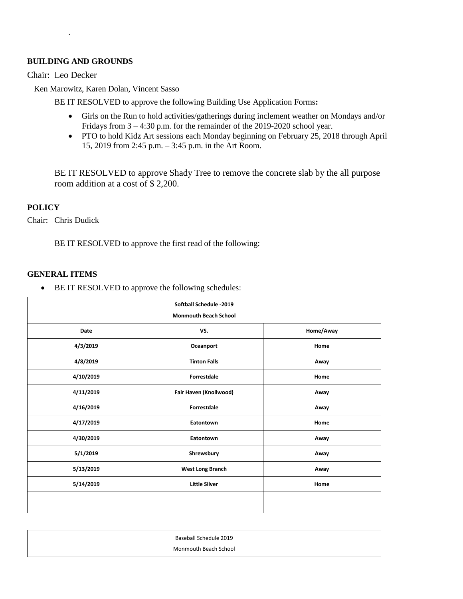## **BUILDING AND GROUNDS**

.

Chair: Leo Decker

Ken Marowitz, Karen Dolan, Vincent Sasso

BE IT RESOLVED to approve the following Building Use Application Forms**:** 

- Girls on the Run to hold activities/gatherings during inclement weather on Mondays and/or Fridays from 3 – 4:30 p.m. for the remainder of the 2019-2020 school year.
- PTO to hold Kidz Art sessions each Monday beginning on February 25, 2018 through April 15, 2019 from 2:45 p.m. – 3:45 p.m. in the Art Room.

BE IT RESOLVED to approve Shady Tree to remove the concrete slab by the all purpose room addition at a cost of \$ 2,200.

## **POLICY**

Chair: Chris Dudick

BE IT RESOLVED to approve the first read of the following:

## **GENERAL ITEMS**

• BE IT RESOLVED to approve the following schedules:

| Softball Schedule -2019 |                              |           |
|-------------------------|------------------------------|-----------|
|                         | <b>Monmouth Beach School</b> |           |
| Date                    | VS.                          | Home/Away |
| 4/3/2019                | Oceanport                    | Home      |
| 4/8/2019                | <b>Tinton Falls</b>          | Away      |
| 4/10/2019               | <b>Forrestdale</b>           | Home      |
| 4/11/2019               | Fair Haven (Knollwood)       | Away      |
| 4/16/2019               | Forrestdale                  | Away      |
| 4/17/2019               | Eatontown                    | Home      |
| 4/30/2019               | Eatontown                    | Away      |
| 5/1/2019                | Shrewsbury                   | Away      |
| 5/13/2019               | <b>West Long Branch</b>      | Away      |
| 5/14/2019               | <b>Little Silver</b>         | Home      |
|                         |                              |           |
|                         |                              |           |

| Baseball Schedule 2019 |
|------------------------|
| Monmouth Beach School  |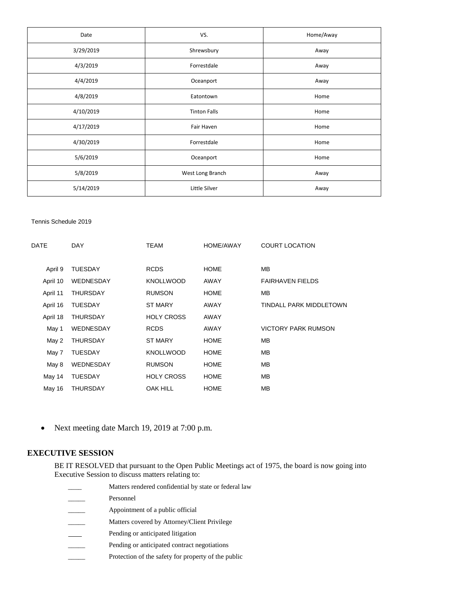| Date      | VS.                 | Home/Away |
|-----------|---------------------|-----------|
| 3/29/2019 | Shrewsbury          | Away      |
| 4/3/2019  | Forrestdale         | Away      |
| 4/4/2019  | Oceanport           | Away      |
| 4/8/2019  | Eatontown           | Home      |
| 4/10/2019 | <b>Tinton Falls</b> | Home      |
| 4/17/2019 | Fair Haven          | Home      |
| 4/30/2019 | Forrestdale         | Home      |
| 5/6/2019  | Oceanport           | Home      |
| 5/8/2019  | West Long Branch    | Away      |
| 5/14/2019 | Little Silver       | Away      |

#### Tennis Schedule 2019

| DATE     | <b>DAY</b>       | <b>TEAM</b>       | <b>HOME/AWAY</b> | <b>COURT LOCATION</b>      |
|----------|------------------|-------------------|------------------|----------------------------|
|          |                  |                   |                  |                            |
| April 9  | <b>TUESDAY</b>   | <b>RCDS</b>       | <b>HOME</b>      | MВ                         |
| April 10 | <b>WEDNESDAY</b> | <b>KNOLLWOOD</b>  | AWAY             | <b>FAIRHAVEN FIELDS</b>    |
| April 11 | <b>THURSDAY</b>  | <b>RUMSON</b>     | <b>HOME</b>      | <b>MB</b>                  |
| April 16 | <b>TUESDAY</b>   | <b>ST MARY</b>    | AWAY             | TINDALL PARK MIDDLETOWN    |
| April 18 | <b>THURSDAY</b>  | <b>HOLY CROSS</b> | AWAY             |                            |
| May 1    | WEDNESDAY        | <b>RCDS</b>       | AWAY             | <b>VICTORY PARK RUMSON</b> |
| May 2    | THURSDAY         | <b>ST MARY</b>    | <b>HOME</b>      | <b>MB</b>                  |
| May 7    | <b>TUESDAY</b>   | <b>KNOLLWOOD</b>  | <b>HOME</b>      | <b>MB</b>                  |
| May 8    | WEDNESDAY        | <b>RUMSON</b>     | <b>HOME</b>      | <b>MB</b>                  |
| May 14   | <b>TUESDAY</b>   | <b>HOLY CROSS</b> | <b>HOME</b>      | <b>MB</b>                  |
| May 16   | <b>THURSDAY</b>  | <b>OAK HILL</b>   | <b>HOME</b>      | <b>MB</b>                  |
|          |                  |                   |                  |                            |

• Next meeting date March 19, 2019 at 7:00 p.m.

### **EXECUTIVE SESSION**

BE IT RESOLVED that pursuant to the Open Public Meetings act of 1975, the board is now going into Executive Session to discuss matters relating to:

Matters rendered confidential by state or federal law Personnel Appointment of a public official Matters covered by Attorney/Client Privilege Pending or anticipated litigation Pending or anticipated contract negotiations \_\_\_\_\_ Protection of the safety for property of the public